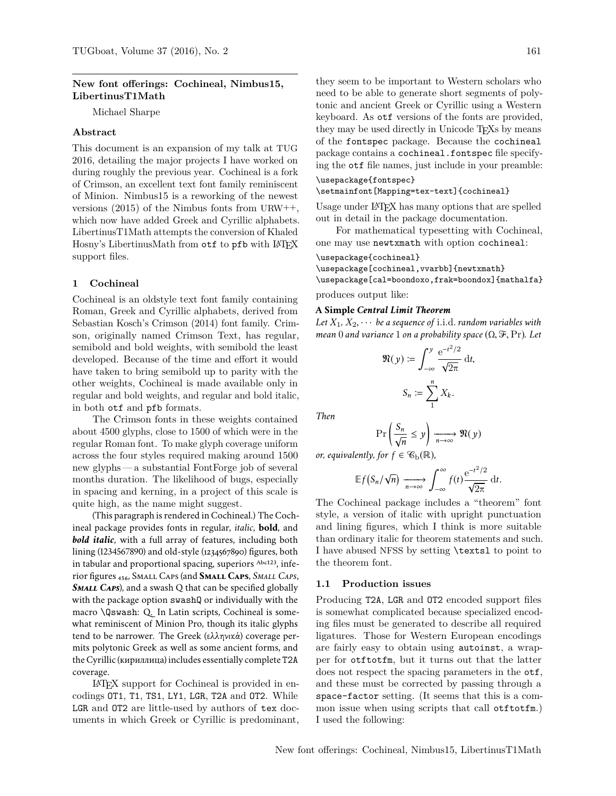## **New font offerings: Cochineal, Nimbus15, LibertinusT1Math**

Michael Sharpe

## **Abstract**

This document is an expansion of my talk at TUG 2016, detailing the major projects I have worked on during roughly the previous year. Cochineal is a fork of Crimson, an excellent text font family reminiscent of Minion. Nimbus15 is a reworking of the newest versions (2015) of the Nimbus fonts from URW++, which now have added Greek and Cyrillic alphabets. LibertinusT1Math attempts the conversion of Khaled Hosny's LibertinusMath from otf to pfb with LATEX support files.

### **1 Cochineal**

Cochineal is an oldstyle text font family containing Roman, Greek and Cyrillic alphabets, derived from Sebastian Kosch's Crimson (2014) font family. Crimson, originally named Crimson Text, has regular, semibold and bold weights, with semibold the least developed. Because of the time and effort it would have taken to bring semibold up to parity with the other weights, Cochineal is made available only in regular and bold weights, and regular and bold italic, in both otf and pfb formats.

The Crimson fonts in these weights contained about 4500 glyphs, close to 1500 of which were in the regular Roman font. To make glyph coverage uniform across the four styles required making around 1500 new glyphs — a substantial FontForge job of several months duration. The likelihood of bugs, especially in spacing and kerning, in a project of this scale is quite high, as the name might suggest.

(This paragraph is rendered in Cochineal.) The Cochineal package provides fonts in regular, *italic*, **bold**, and *bold italic*, with a full array of features, including both lining (1234567890) and old-style (1234567890) figures, both in tabular and proportional spacing, superiors Abc123, inferior figures ₄₅₆, Small Caps(and **Small Caps**, *Small Caps*, *SMALL CAPS*), and a swash Q that can be specified globally with the package option swashQ or individually with the macro \Qswash: Q. In Latin scripts, Cochineal is somewhat reminiscent of Minion Pro, though its italic glyphs tend to be narrower. The Greek (ελληνικά) coverage permits polytonic Greek as well as some ancient forms, and the Cyrillic (кириллица) includes essentially complete T2A coverage.

LATEX support for Cochineal is provided in encodings OT1, T1, TS1, LY1, LGR, T2A and OT2. While LGR and OT2 are little-used by authors of tex documents in which Greek or Cyrillic is predominant, they seem to be important to Western scholars who need to be able to generate short segments of polytonic and ancient Greek or Cyrillic using a Western keyboard. As otf versions of the fonts are provided, they may be used directly in Unicode TEXs by means of the fontspec package. Because the cochineal package contains a cochineal.fontspec file specifying the otf file names, just include in your preamble:

### \usepackage{fontspec} \setmainfont[Mapping=tex-text]{cochineal}

Usage under LATEX has many options that are spelled out in detail in the package documentation.

For mathematical typesetting with Cochineal, one may use newtxmath with option cochineal:

#### \usepackage{cochineal}

\usepackage[cochineal,vvarbb]{newtxmath}

\usepackage[cal=boondoxo,frak=boondox]{mathalfa} produces output like:

### **A Simple** *Central Limit Theorem*

Let  $X_1, X_2, \cdots$  be a sequence of i.i.d. *random variables with mean* <sup>0</sup> *and variance* <sup>1</sup> *on a probability space* (Ω, <sup>F</sup>, Pr)*. Let*

$$
\mathfrak{N}(y) \coloneqq \int_{-\infty}^{y} \frac{\mathrm{e}^{-t^2/2}}{\sqrt{2\pi}} \, \mathrm{d}t,
$$

$$
S_n \coloneqq \sum_{1}^{n} X_k.
$$

*Then*

$$
\Pr\left(\frac{S_n}{\sqrt{n}} \le y\right) \xrightarrow[n \to \infty]{} \mathfrak{N}(y)
$$

*or, equivalently, for*  $f \in \mathcal{C}_{b}(\mathbb{R})$ ,

$$
\mathbb{E} f(S_n/\sqrt{n}) \xrightarrow[n \to \infty]{} \int_{-\infty}^{\infty} f(t) \frac{\mathrm{e}^{-t^2/2}}{\sqrt{2\pi}} \, \mathrm{d}t.
$$

The Cochineal package includes a "theorem" font style, a version of italic with upright punctuation and lining figures, which I think is more suitable than ordinary italic for theorem statements and such. I have abused NFSS by setting \textsl to point to the theorem font.

## **1.1 Production issues**

Producing T2A, LGR and OT2 encoded support files is somewhat complicated because specialized encoding files must be generated to describe all required ligatures. Those for Western European encodings are fairly easy to obtain using autoinst, a wrapper for otftotfm, but it turns out that the latter does not respect the spacing parameters in the otf, and these must be corrected by passing through a space-factor setting. (It seems that this is a common issue when using scripts that call otftotfm.) I used the following: